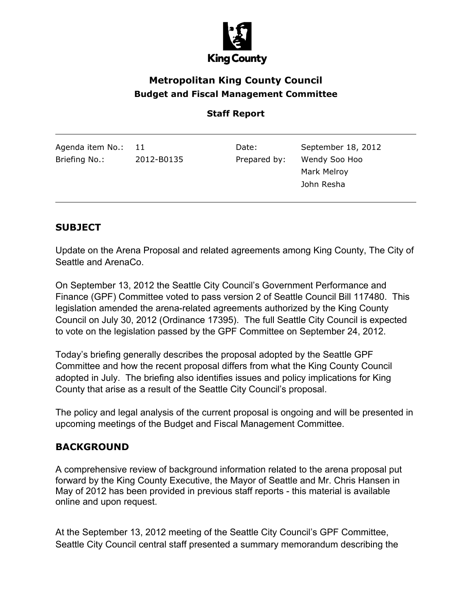

# **Metropolitan King County Council Budget and Fiscal Management Committee**

#### **Staff Report**

| Agenda item No.: 11 |            | Date:        | September 18, 2012 |
|---------------------|------------|--------------|--------------------|
| Briefing No.:       | 2012-B0135 | Prepared by: | Wendy Soo Hoo      |
|                     |            |              | Mark Melroy        |
|                     |            |              | John Resha         |
|                     |            |              |                    |

#### **SUBJECT**

Update on the Arena Proposal and related agreements among King County, The City of Seattle and ArenaCo.

On September 13, 2012 the Seattle City Council's Government Performance and Finance (GPF) Committee voted to pass version 2 of Seattle Council Bill 117480. This legislation amended the arena-related agreements authorized by the King County Council on July 30, 2012 (Ordinance 17395). The full Seattle City Council is expected to vote on the legislation passed by the GPF Committee on September 24, 2012.

Today's briefing generally describes the proposal adopted by the Seattle GPF Committee and how the recent proposal differs from what the King County Council adopted in July. The briefing also identifies issues and policy implications for King County that arise as a result of the Seattle City Council's proposal.

The policy and legal analysis of the current proposal is ongoing and will be presented in upcoming meetings of the Budget and Fiscal Management Committee.

#### **BACKGROUND**

A comprehensive review of background information related to the arena proposal put forward by the King County Executive, the Mayor of Seattle and Mr. Chris Hansen in May of 2012 has been provided in previous staff reports - this material is available online and upon request.

At the September 13, 2012 meeting of the Seattle City Council's GPF Committee, Seattle City Council central staff presented a summary memorandum describing the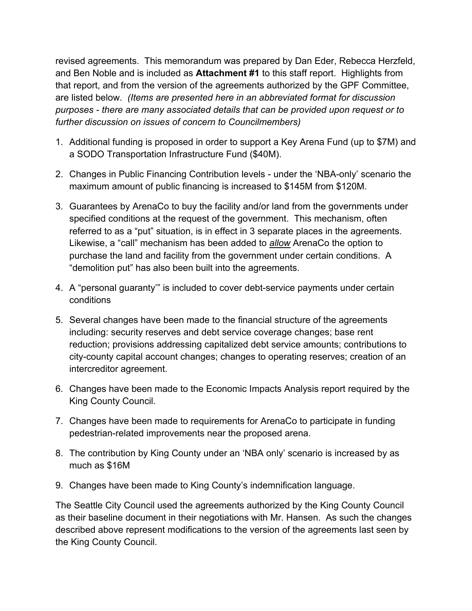revised agreements. This memorandum was prepared by Dan Eder, Rebecca Herzfeld, and Ben Noble and is included as **Attachment #1** to this staff report. Highlights from that report, and from the version of the agreements authorized by the GPF Committee, are listed below. *(Items are presented here in an abbreviated format for discussion purposes - there are many associated details that can be provided upon request or to further discussion on issues of concern to Councilmembers)*

- 1. Additional funding is proposed in order to support a Key Arena Fund (up to \$7M) and a SODO Transportation Infrastructure Fund (\$40M).
- 2. Changes in Public Financing Contribution levels under the 'NBA-only' scenario the maximum amount of public financing is increased to \$145M from \$120M.
- 3. Guarantees by ArenaCo to buy the facility and/or land from the governments under specified conditions at the request of the government. This mechanism, often referred to as a "put" situation, is in effect in 3 separate places in the agreements. Likewise, a "call" mechanism has been added to *allow* ArenaCo the option to purchase the land and facility from the government under certain conditions. A "demolition put" has also been built into the agreements.
- 4. A "personal guaranty'" is included to cover debt-service payments under certain conditions
- 5. Several changes have been made to the financial structure of the agreements including: security reserves and debt service coverage changes; base rent reduction; provisions addressing capitalized debt service amounts; contributions to city-county capital account changes; changes to operating reserves; creation of an intercreditor agreement.
- 6. Changes have been made to the Economic Impacts Analysis report required by the King County Council.
- 7. Changes have been made to requirements for ArenaCo to participate in funding pedestrian-related improvements near the proposed arena.
- 8. The contribution by King County under an 'NBA only' scenario is increased by as much as \$16M
- 9. Changes have been made to King County's indemnification language.

The Seattle City Council used the agreements authorized by the King County Council as their baseline document in their negotiations with Mr. Hansen. As such the changes described above represent modifications to the version of the agreements last seen by the King County Council.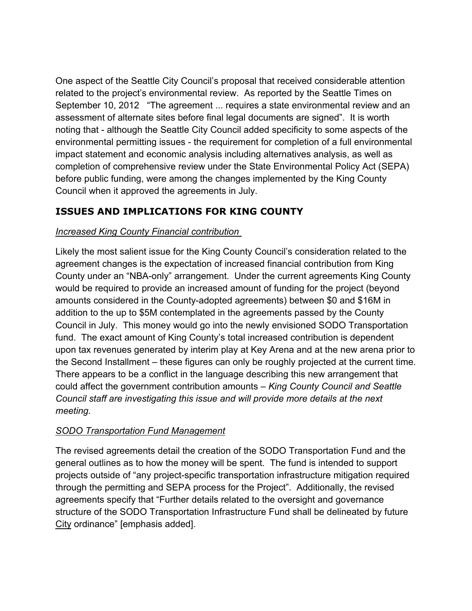One aspect of the Seattle City Council's proposal that received considerable attention related to the project's environmental review. As reported by the Seattle Times on September 10, 2012 "The agreement ... requires a state environmental review and an assessment of alternate sites before final legal documents are signed". It is worth noting that - although the Seattle City Council added specificity to some aspects of the environmental permitting issues - the requirement for completion of a full environmental impact statement and economic analysis including alternatives analysis, as well as completion of comprehensive review under the State Environmental Policy Act (SEPA) before public funding, were among the changes implemented by the King County Council when it approved the agreements in July.

### **ISSUES AND IMPLICATIONS FOR KING COUNTY**

#### *Increased King County Financial contribution*

Likely the most salient issue for the King County Council's consideration related to the agreement changes is the expectation of increased financial contribution from King County under an "NBA-only" arrangement. Under the current agreements King County would be required to provide an increased amount of funding for the project (beyond amounts considered in the County-adopted agreements) between \$0 and \$16M in addition to the up to \$5M contemplated in the agreements passed by the County Council in July. This money would go into the newly envisioned SODO Transportation fund. The exact amount of King County's total increased contribution is dependent upon tax revenues generated by interim play at Key Arena and at the new arena prior to the Second Installment – these figures can only be roughly projected at the current time. There appears to be a conflict in the language describing this new arrangement that could affect the government contribution amounts – *King County Council and Seattle Council staff are investigating this issue and will provide more details at the next meeting.*

#### *SODO Transportation Fund Management*

The revised agreements detail the creation of the SODO Transportation Fund and the general outlines as to how the money will be spent. The fund is intended to support projects outside of "any project-specific transportation infrastructure mitigation required through the permitting and SEPA process for the Project". Additionally, the revised agreements specify that "Further details related to the oversight and governance structure of the SODO Transportation Infrastructure Fund shall be delineated by future City ordinance" [emphasis added].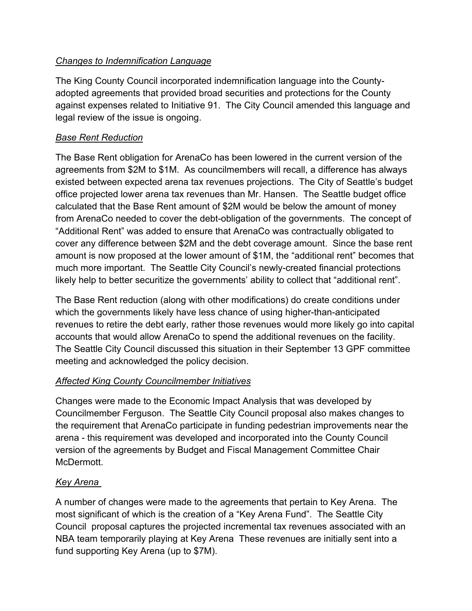#### *Changes to Indemnification Language*

The King County Council incorporated indemnification language into the Countyadopted agreements that provided broad securities and protections for the County against expenses related to Initiative 91. The City Council amended this language and legal review of the issue is ongoing.

#### *Base Rent Reduction*

The Base Rent obligation for ArenaCo has been lowered in the current version of the agreements from \$2M to \$1M. As councilmembers will recall, a difference has always existed between expected arena tax revenues projections. The City of Seattle's budget office projected lower arena tax revenues than Mr. Hansen. The Seattle budget office calculated that the Base Rent amount of \$2M would be below the amount of money from ArenaCo needed to cover the debt-obligation of the governments. The concept of "Additional Rent" was added to ensure that ArenaCo was contractually obligated to cover any difference between \$2M and the debt coverage amount. Since the base rent amount is now proposed at the lower amount of \$1M, the "additional rent" becomes that much more important. The Seattle City Council's newly-created financial protections likely help to better securitize the governments' ability to collect that "additional rent".

The Base Rent reduction (along with other modifications) do create conditions under which the governments likely have less chance of using higher-than-anticipated revenues to retire the debt early, rather those revenues would more likely go into capital accounts that would allow ArenaCo to spend the additional revenues on the facility. The Seattle City Council discussed this situation in their September 13 GPF committee meeting and acknowledged the policy decision.

#### *Affected King County Councilmember Initiatives*

Changes were made to the Economic Impact Analysis that was developed by Councilmember Ferguson. The Seattle City Council proposal also makes changes to the requirement that ArenaCo participate in funding pedestrian improvements near the arena - this requirement was developed and incorporated into the County Council version of the agreements by Budget and Fiscal Management Committee Chair McDermott.

#### *Key Arena*

A number of changes were made to the agreements that pertain to Key Arena. The most significant of which is the creation of a "Key Arena Fund". The Seattle City Council proposal captures the projected incremental tax revenues associated with an NBA team temporarily playing at Key Arena These revenues are initially sent into a fund supporting Key Arena (up to \$7M).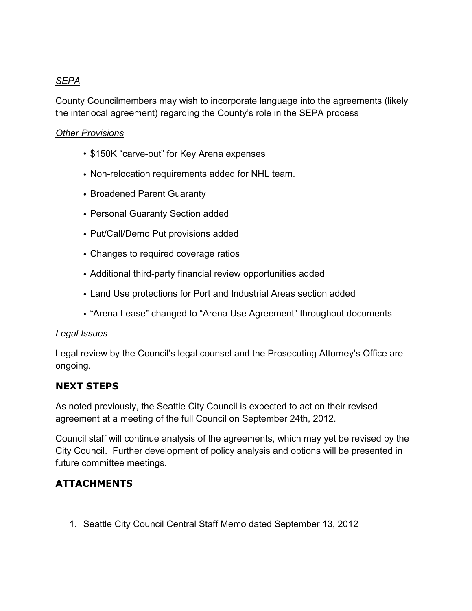#### *SEPA*

County Councilmembers may wish to incorporate language into the agreements (likely the interlocal agreement) regarding the County's role in the SEPA process

#### *Other Provisions*

- \$150K "carve-out" for Key Arena expenses
- Non-relocation requirements added for NHL team.
- Broadened Parent Guaranty
- Personal Guaranty Section added
- Put/Call/Demo Put provisions added
- Changes to required coverage ratios
- Additional third-party financial review opportunities added
- Land Use protections for Port and Industrial Areas section added
- "Arena Lease" changed to "Arena Use Agreement" throughout documents

#### *Legal Issues*

Legal review by the Council's legal counsel and the Prosecuting Attorney's Office are ongoing.

#### **NEXT STEPS**

As noted previously, the Seattle City Council is expected to act on their revised agreement at a meeting of the full Council on September 24th, 2012.

Council staff will continue analysis of the agreements, which may yet be revised by the City Council. Further development of policy analysis and options will be presented in future committee meetings.

#### **ATTACHMENTS**

1. Seattle City Council Central Staff Memo dated September 13, 2012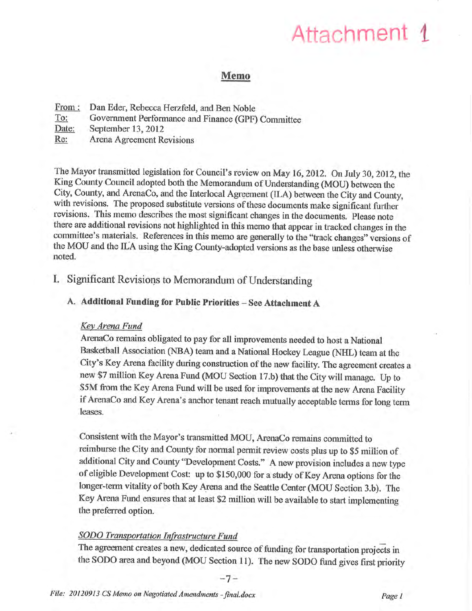# Attachment 1

#### Memo

| From: | Dan Eder, Rebecca Herzfeld, and Ben Noble          |
|-------|----------------------------------------------------|
| To:   | Government Performance and Finance (GPF) Committee |
| Date: | September 13, 2012                                 |
| Re:   | Arena Agreement Revisions                          |

The Mayor transmitted legislation for Council's review on May 16, 2012. On July 30, 2012, the King County Council adopted both the Memorandum of Understanding (MOU) between the City, County, and ArenaCo, and the Interlocal Agreement (ILA) between the City and County, with revisions. The proposed substitute versions of these documents make significant further revisions. This memo describes the most significant changes in the documenis. please note there are additional revisions not highlighted in this memo that appear in tracked changes in the committee's materials. References in this memo are generally to the "track changes" versions of the MOU and the ILA using the King County-adopted versions as the base unless otherwise noted.

#### I. Significant Revisions to Memorandum of Understanding

#### A. Additional Funding for Public Priorities - See Attachment A

#### Key Arena Fund

ArenaCo remains obligated to pay for all improvements needed to host a National Basketball Association (NBA) team and a National Hockey League (NHL) team at the City's Key Arena facility during construction of the new facility. The agreement creates a new \$7 million Key Arena Fund (MOU Section 17.b) that the City will manage. Up to \$5M from the Key Arena Fund will be used for improvements at the new Arena Facility if ArenaCo and Key Arena's anchor tenant reach mutually acceptable terms for long term leases.

Consistent with the Mayor's transmitted MOU, ArenaCo remains committed to reimburse the City and County for normal permit review costs plus up to \$5 million of additional City and County'Development Costs." A new provision includes a new type of eligible Development Cost: up to \$150,000 for a study of Key Arena options for the longer-term vitality of both Key Arena and the Seattle Center (MOU Section 3.b). The Key Arena Fund ensures that at least \$2 million witl be available to start implementing the preferred option.

#### SODO Transportation Infrastructure Fund

The agreement creates a new, dedicated source of funding for transportation projects in the SODO area and beyond (MOU Section 11). The new SODO fund gives first priority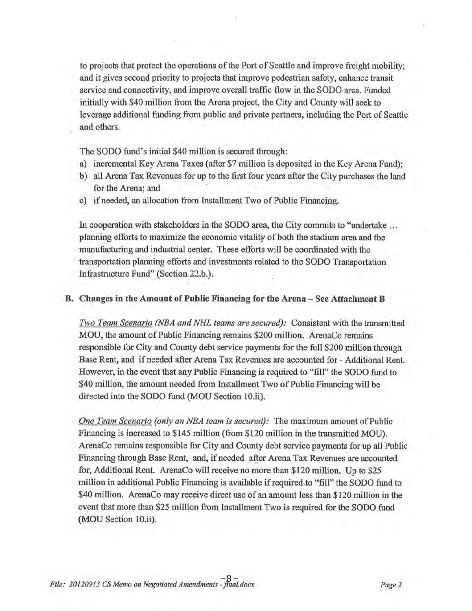to projects that protect the operations of the Port of Seattle and improve freight mobility; and it gives second priority to projects that improve pedestrian safety, enhance transit service and connectivity, and improve overall traffic flow in the SODO area. Funded initially with \$40 million from the Arena project, the City and County will seek to leverage additional funding from public and private partners, including the Port of Seattle and others.

The SODO fund's initial \$40 million is secured through:

- a) incremental Key Arena Taxes (after \$7 million is deposited in the Key Arena Fund);
- b) all Arena Tax Revenues for up to the first four years after the City purchases the land for the Arena; and
- c) if needed, an allocation from Installment Two of Public Financing.

In cooperation with stakeholders in the SODO area, the City commits to "undertake ... planning efforts to maximize the economic vitality of both the stadium area and the manufacturing and industrial center. These efforts will be coordinated with the transportation planning efforts and investments related to the SODO Transportation Infrastructure Fund" (Section 22.b.).

#### B. Changes in the Amount of Public Financing for the Arena - See Attachment B

Two Team Scenario (NBA and NHL teams are secured): Consistent with the transmitted MOU, the amount of Public Financing remains \$200 million. ArenaCo remains responsible for City and County debt service paynents for the full \$200 million through Base Rent, and if needed after Arena Tax Revenues are accounted for - Additional Rent. However, in the event that any Public Financing is required to "fill" the SODO fund to \$40 million, the amount needed from Installment Two of Public Financing will be directed into the SODO fund (MOU Section 10.ii).

One Team Scenario (only an NBA team is secured). The maximum amount of Public Financing is increased to \$145 million (from \$120 million in the transmitted MOU). ArenaCo remains responsible for City and County debt service payments for up all Public Financing through Base Rent, and, if needed after Arena Tax Revenues are accounted for, Additional Rent. ArenaCo will receive no more than \$120 million. Up to \$25 million in additional Public Financing is available if required.to "fiIl" the SODO fund to \$40 million. ArenaCo may receive direct use of an amount less than \$120 million in the event that more than \$25 million from Installment Two is required for the SODO fund (MOU Section 10.ii).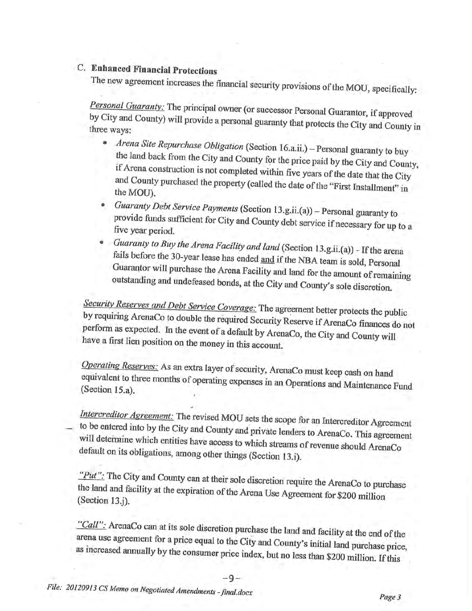# C. Enhanced Financial protections

The new agreement increases the financial security provisions of the Mou, specifically:

Personal Guaranty: The principal owner (or successor Personal Guarantor, if approved by City and County) will provide a personal guaranty that protects the City and County three ways: by City and County) will provide a personal guaranty that protects the City and County in

- Arena Site Repurchase Obligation (Section 16.a.ii.) Personal guaranty to buy the land back from the City and County for the price paid by the City and County, if Arena construction is not completed within five years of the date that the City and County purchased the property (called the date of the
- Guaranty Debt Service Payments (Section 13.g.ii.(a)) provide funds sufficient  $C = C'$ provide funds sufficient for City and County debt service if necessary for up to a five year period.
- Guaranty to Buy the Arena Facility and land (Section 13.g.ii.(a)) If the arena fails before the 30-year lease has ended <u>and</u> if the NBA team is sold, Personal Guarantor will purchase the Arena Facility and land for the amount of remaining outstanding and undefeased bonds, at the City and County's sole discretion.

Security Reserves and Debt Service Coverage: The agreement better protects the public by requiring ArenaCo to double the required Security Reserve if ArenaCo finances do not perform if Arenaco finances do not as expected. In the event of a default by Arenaco, the city and county will have a first lien position on the money in this account. <sub>l</sub>Co, the City and Co

Operating Reserves: As an extra layer of security, ArenaCo must keep cash on hand equivalent to three months of operating expenses in an Operations and Maintenance (Section 15.a). equivalent to three months of operating expenses in an Operations and Maintenance Fund

Intercreditor Agreement: The revised MOU sets the scope for an Intercreditor Agreement to be entered into by the City and County and private lenders to ArenaCo. This agreement will determine which entities have access to which streams of revenue should ArenaCo default on its obligations, among other things (Section 13.i).

"Put": The City and County can at their sole discretion require the ArenaCo to purchase the land and facility at the expiration of the Arena Use Agreement for \$200 million (Section 13.j).

"Call": ArenaCo can at its sole discretion purchase the land and facility at the end of the arena use agreement for a price equal to the City and County's initial land purchase price, as increased annually by the consumer

-9-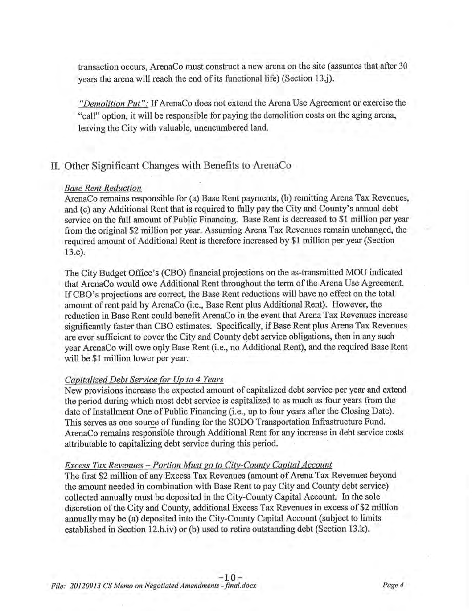transaction occurs, ArenaCo must construct a new arena on the site (assumes that after 30 years the arena will reach the end of its functional life) (Section 13 j).

"Demolition Put": If ArenaCo does not extend the Arena Use Agreement or exercise the "call" option, it will be responsible for paying the demolition costs on the aging arena, leaving the City with valuable, unencumbered land.

#### II. Other Significant Changes with Benefits to ArenaCo

#### Base Rent Reduction

ArenaCo remains responsible for (a) Base Rent payments, (b) remitting Arena Tax Revenues, and (c) any Additional Rent that is required to fully pay the City and County's annual debt service on the full amount of Public Financing. Base Rent is decreased to \$1 million per year from the original \$2 million per year. Assuming Arena Tax Revenues remain unchanged, the required amount of Additional Rent is therefore increased by \$1 million per year (Section 13.c).

The City Budget Office's (CBO) financial projections on tbe as-transmitted MOU indicated that ArenaCo would owe Additional Rent throughout the term of the Arena Use Agreement. If CBO's projections are correct, the Base Rent reductions will have no effect on the total amount of rent paid by ArenaCo (i.e., Base Rent plus Additional Rent). However, the reduction in Base Rent could benefit ArenaCo in the event that Arena Tax Revenues increase significantly faster than CBO estimates. Specifically, if Base Rent plus Arena Tax Revenues are ever sufficient to cover the City and County debt service obligations, then in any such year ArenaCo will owe only Base Rent (i.e., no Additional Rent), and the required Base Rent will be \$1 million lower per year.

#### Capitalized Debt Service for Up to 4 Years

New provisions increase the expected amount of capitalized debt service per year and extend the period during which most debt service is capitalized to as much as four years from the date of Installment One of Public Financing (i.e., up to four years after the Closing Date). This serves as one source of funding forthe SODO Transportation.Infrastructure Fund. ArenaCo remains responsible through Additional Rent for any increase in debt service costs attributable to capitalizing debt service during this period.

#### Excess Tax Revenues - Portion Must go to City-County Capital Account

The first \$2 million of any Excess Tax Revenues (amount of Arena Tax Revenues beyond the amount needed in combination with Base Rent to pay City and County debt service) collected annually must be deposited in the City-County Capital Account. In the sole discretion of the City and County, additional Excess Tax Revenues in excess of \$2 million annually may be (a) deposited into the City-County Capital Account (subject to limits established in Section 12.h.iv) or (b) used to retire outstanding debt (Section 13.k).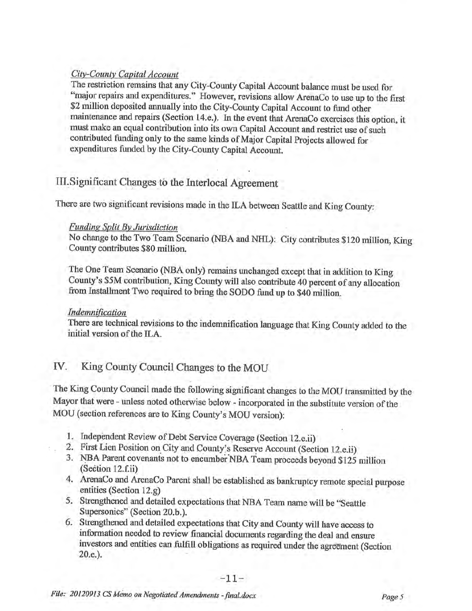#### City-County Capital Account

The restriction remains that any City-County Capital Account balance must be used for "major repairs and expenditures." However, revisions allow ArenaCo to use up to the first \$2 million deposited annually into the City-County Capital Account to fund other maintenance and repairs (Section 14.e.). In the event that ArenaCo exercises this option, it must make an equal contribution into its own Capital Account and restrict use of such contributed funding only to the same kinds of Major Capital Projects allowed for expenditures funded by the City-County Capital Account.

# Ill.Significant Changes tö the Interlocal Agreement

There are two significant revisions made in the ILA between Seattle and King County:

#### Funding Split By Jurisdiction

No change to the Two Team Scenario (NBA and NHL): City contributes \$120 million, King County contributes \$80 million.

The One Team Scenario (NBA only) remains unchanged except that in addition to King County's \$5M contribution, King Countywill also contibute 40 percent of any allocation from Installment Two required to bring the SoDo fund up to \$40 million.

#### Indemnifìcatíon

There are technical revisions to the indemnification language that King County added to the initial version of the ILA.

# IV. King County Council Changes to the MOU

The King County Council made the following significant changes to the MOU transmitted by the Mayor that were - unless noted otherwise below - incorporated in the substitute version of the MOU (section references are to King County's MOU version):

- 
- 1. Independent Review of Debt Service Coverage (Section 12.e.ii)<br>2. First Lien Position on City and County's Reserve Account (Section 12.e.ii)
- 3. NBA Parent covenants not to encumber NBA Team proceeds beyond \$125 million (Section 12.f.ä)
- 4. ArenaCo and ArenaCo Parent shall be established as bankruptcy remote special purpose entities (Section 12.g)
- 5. Strengthened and detailed expectations that NBA Team name will be "Seattle Supersonics" (Section 20.b.).
- 6. Strengthened and detailed expectations that City and County will have access to information needed to review financial documents regarding the deal and ensure investors and entities can fulfill obligations as required under the agreement (Section 20.e.).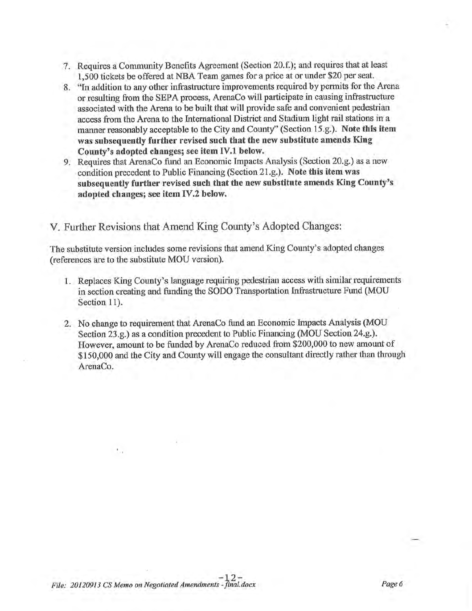- 7. Requires a Community Benefits Agreement (Section 20.f.); and requires that at least 1,500 tickets be offered at NBA Team games for a price at or under \$20 per seat.
- 8. "In addition to any other infrastructure improvements required by permits for the Arena or resulting from the SEPA process, ArenaCo will participate in causing infrastructure associated with the Arena to be built that will provide safe and convenient pedestrian access from the Arena to the Intemational District and Stadium light rail stations in <sup>a</sup> manner reasonably acceptable to the City and County''(Section 15.g.). Note this item was subsequently further revised such that the new substitute amends King County's adopted changes; see item IV.l below
- 9. Requires that ArenaCo fund an Economic Impacts Analysis (Section 20.g.) as a new condition precedent to Public Financing (Section 21.g.). Note this item was subsequentty further revised such that the new substitute amends King County's adopted changes; see item IV.2 below.

# V. Further Revisions that Amend King County's Adopted Changes:

The substitute version includes some revisions that amend King County's adopted changes (references are to the substitute MOU version).

- 1. Replaces King County's language requiring pedestrian access with similar requirements in section creating and funding the SODO Transportation Infrastructure Fund (MOU Section 11).
- 2. No change to requirement that ArenaCo fund an Economic Impacts Analysis (MOU Section 23.g.) as a condition precedent to Public Financing (MOU Section 24.g.). However, amount to be funded by ArenaCo reduced from \$200,000 to new amount of \$150,000 and the City and County will engage the consultant directly rather than through ArenaCo.

t.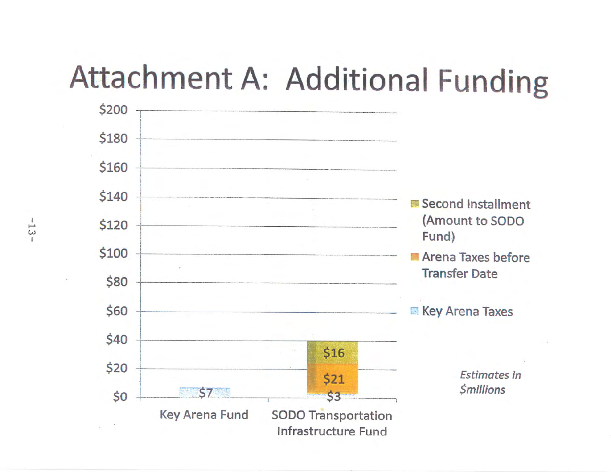# Attachment A: Additional Funding



 $-13-$